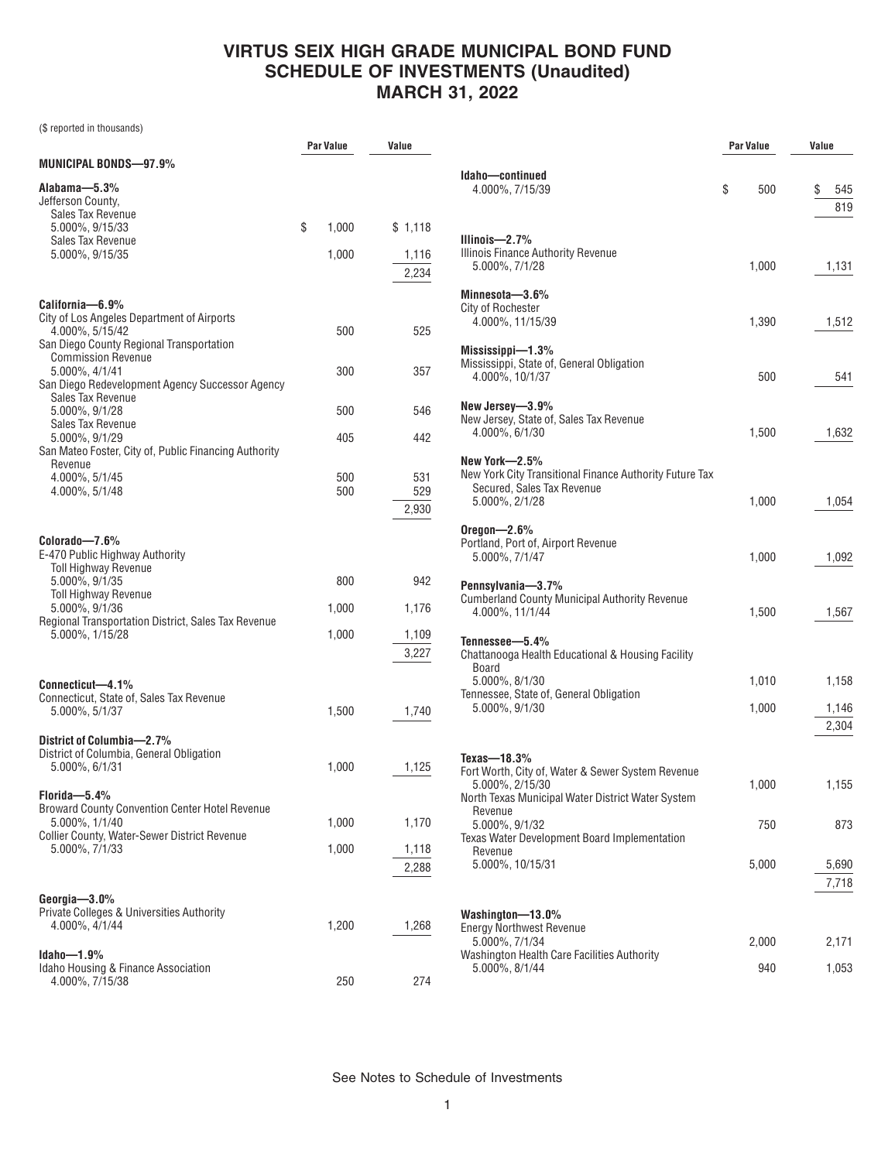## **VIRTUS SEIX HIGH GRADE MUNICIPAL BOND FUND SCHEDULE OF INVESTMENTS (Unaudited) MARCH 31, 2022**

(\$ reported in thousands)

|                                                                                                           | <b>Par Value</b> | Value               |                               |
|-----------------------------------------------------------------------------------------------------------|------------------|---------------------|-------------------------------|
| <b>MUNICIPAL BONDS-97.9%</b>                                                                              |                  |                     | Idaho-                        |
| Alabama-5.3%<br>Jefferson County.<br>Sales Tax Revenue                                                    |                  |                     | 4.00                          |
| 5.000%, 9/15/33<br>Sales Tax Revenue                                                                      | \$<br>1,000      | \$1,118             | Illinois                      |
| 5.000%, 9/15/35                                                                                           | 1,000            | 1,116<br>2,234      | <b>Illinois</b><br>5.00       |
| California-6.9%                                                                                           |                  |                     | <b>Minnes</b><br>City of      |
| City of Los Angeles Department of Airports<br>4.000%, 5/15/42<br>San Diego County Regional Transportation | 500              | 525                 | 4.00<br><b>Missis:</b>        |
| <b>Commission Revenue</b><br>5.000%, 4/1/41<br>San Diego Redevelopment Agency Successor Agency            | 300              | 357                 | <b>Mississ</b><br>4.00        |
| Sales Tax Revenue<br>5.000%, 9/1/28                                                                       | 500              | 546                 | New Je<br>New Je              |
| Sales Tax Revenue<br>5.000%, 9/1/29                                                                       | 405              | 442                 | 4.00                          |
| San Mateo Foster, City of, Public Financing Authority<br>Revenue                                          |                  |                     | New Yo                        |
| 4.000%, 5/1/45<br>4.000%, 5/1/48                                                                          | 500<br>500       | 531<br>529<br>2,930 | New Yo<br>Secu<br>5.00        |
| Colorado-7.6%<br>E-470 Public Highway Authority<br><b>Toll Highway Revenue</b>                            |                  |                     | Oregon<br>Portlan<br>5.00     |
| 5.000%, 9/1/35<br><b>Toll Highway Revenue</b>                                                             | 800              | 942                 | Pennsy                        |
| 5.000%, 9/1/36                                                                                            | 1,000            | 1,176               | Cumbe<br>4.00                 |
| Regional Transportation District, Sales Tax Revenue<br>5.000%, 1/15/28                                    | 1,000            | 1,109<br>3,227      | Tennes<br>Chattar<br>Boar     |
| Connecticut-4.1%<br>Connecticut, State of, Sales Tax Revenue<br>5.000%, 5/1/37                            | 1,500            | 1,740               | 5.00<br><b>Tennes</b><br>5.00 |
| District of Columbia-2.7%<br>District of Columbia, General Obligation<br>5.000%, 6/1/31                   | 1,000            | 1,125               | Texas-<br>Fort Wo             |
| Florida-5.4%<br><b>Broward County Convention Center Hotel Revenue</b><br>5.000%, 1/1/40                   | 1,000            | 1,170               | 5.00<br>North T<br>Reve       |
| <b>Collier County, Water-Sewer District Revenue</b>                                                       |                  |                     | 5.00<br><b>Texas V</b>        |
| 5.000%, 7/1/33                                                                                            | 1,000            | 1,118<br>2,288      | Reve<br>5.00                  |
| Georgia-3.0%<br>Private Colleges & Universities Authority<br>4.000%, 4/1/44                               | 1,200            | 1,268               | Washir<br>Energy<br>5.00      |
| Idaho-1.9%<br>Idaho Housing & Finance Association<br>4.000%, 7/15/38                                      | 250              | 274                 | Washin<br>5.00                |

|                                                                                                                                                                    | Par Value      | Value            |
|--------------------------------------------------------------------------------------------------------------------------------------------------------------------|----------------|------------------|
| Idaho-continued<br>4.000%, 7/15/39                                                                                                                                 | \$<br>500      | \$<br>545<br>819 |
| Illinois— $2.7%$<br><b>Illinois Finance Authority Revenue</b><br>5.000%, 7/1/28                                                                                    | 1,000          | 1,131            |
| Minnesota-3.6%<br>City of Rochester<br>4.000%, 11/15/39                                                                                                            | 1,390          | 1,512            |
| Mississippi-1.3%<br>Mississippi, State of, General Obligation<br>4.000%, 10/1/37                                                                                   | 500            | 541              |
| New Jersey-3.9%<br>New Jersey, State of, Sales Tax Revenue<br>4.000%, 6/1/30                                                                                       | 1,500          | 1,632            |
| New York—2.5%<br>New York City Transitional Finance Authority Future Tax<br>Secured, Sales Tax Revenue<br>5.000%, 2/1/28                                           | 1,000          | 1,054            |
| Oregon $-2.6%$<br>Portland, Port of, Airport Revenue<br>5.000%, 7/1/47                                                                                             | 1,000          | 1,092            |
| Pennsylvania-3.7%<br><b>Cumberland County Municipal Authority Revenue</b><br>4.000%, 11/1/44                                                                       | 1,500          | 1,567            |
| Tennessee-5.4%<br>Chattanooga Health Educational & Housing Facility<br><b>Board</b><br>5.000%, 8/1/30<br>Tennessee, State of, General Obligation<br>5.000%, 9/1/30 | 1,010<br>1,000 | 1,158<br>1,146   |
| Texas- $18.3\%$                                                                                                                                                    |                | 2,304            |
| Fort Worth, City of, Water & Sewer System Revenue<br>5.000%, 2/15/30<br>North Texas Municipal Water District Water System                                          | 1,000          | 1,155            |
| Revenue<br>5.000%, 9/1/32<br><b>Texas Water Development Board Implementation</b><br>Revenue                                                                        | 750            | 873              |
| 5.000%, 10/15/31                                                                                                                                                   | 5,000          | 5,690<br>7,718   |
| Washington-13.0%<br><b>Energy Northwest Revenue</b><br>5.000%, 7/1/34                                                                                              | 2,000          | 2,171            |
| Washington Health Care Facilities Authority<br>5.000%, 8/1/44                                                                                                      | 940            | 1,053            |

See Notes to Schedule of Investments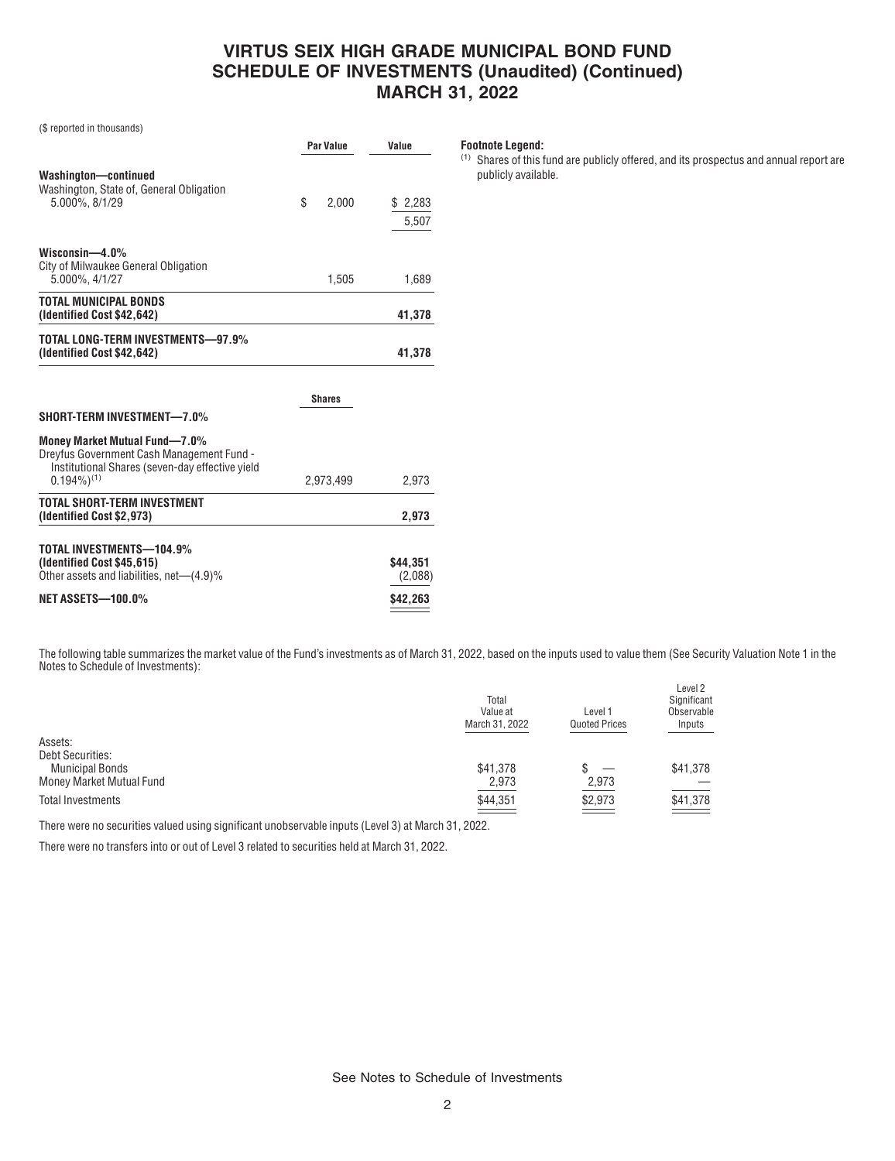## **VIRTUS SEIX HIGH GRADE MUNICIPAL BOND FUND SCHEDULE OF INVESTMENTS (Unaudited) (Continued) MARCH 31, 2022**

(\$ reported in thousands)

|             | Value                |
|-------------|----------------------|
| \$<br>2.000 | 2,283<br>S.<br>5,507 |
| 1,505       | 1.689                |
|             | 41,378               |
|             | 41,378               |
|             | Par Value            |

|                                                                                                                                                           | <b>Shares</b> |                     |
|-----------------------------------------------------------------------------------------------------------------------------------------------------------|---------------|---------------------|
| SHORT-TERM INVESTMENT-7.0%                                                                                                                                |               |                     |
| Money Market Mutual Fund-7.0%<br>Dreyfus Government Cash Management Fund -<br>Institutional Shares (seven-day effective yield<br>$0.194\%$ <sup>(1)</sup> | 2.973.499     | 2.973               |
| TOTAL SHORT-TERM INVESTMENT<br>(Identified Cost \$2,973)                                                                                                  |               | 2.973               |
| TOTAL INVESTMENTS-104.9%<br>(Identified Cost \$45,615)<br>Other assets and liabilities, net-(4.9)%                                                        |               | \$44.351<br>(2,088) |
| <b>NET ASSETS-100.0%</b>                                                                                                                                  |               | \$42,263            |

**Footnote Legend:**

(1) Shares of this fund are publicly offered, and its prospectus and annual report are publicly available.

The following table summarizes the market value of the Fund's investments as of March 31, 2022, based on the inputs used to value them (See Security Valuation Note 1 in the Notes to Schedule of Investments):

| Total<br>Value at<br>March 31, 2022 | Level 1<br><b>Quoted Prices</b> | Level 2<br>Significant<br>Observable<br>Inputs |
|-------------------------------------|---------------------------------|------------------------------------------------|
|                                     |                                 |                                                |
|                                     |                                 |                                                |
| \$41,378                            |                                 | \$41,378                                       |
| 2,973                               | 2,973                           |                                                |
| \$44,351                            | \$2,973                         | \$41,378                                       |
|                                     |                                 |                                                |

There were no securities valued using significant unobservable inputs (Level 3) at March 31, 2022.

There were no transfers into or out of Level 3 related to securities held at March 31, 2022.